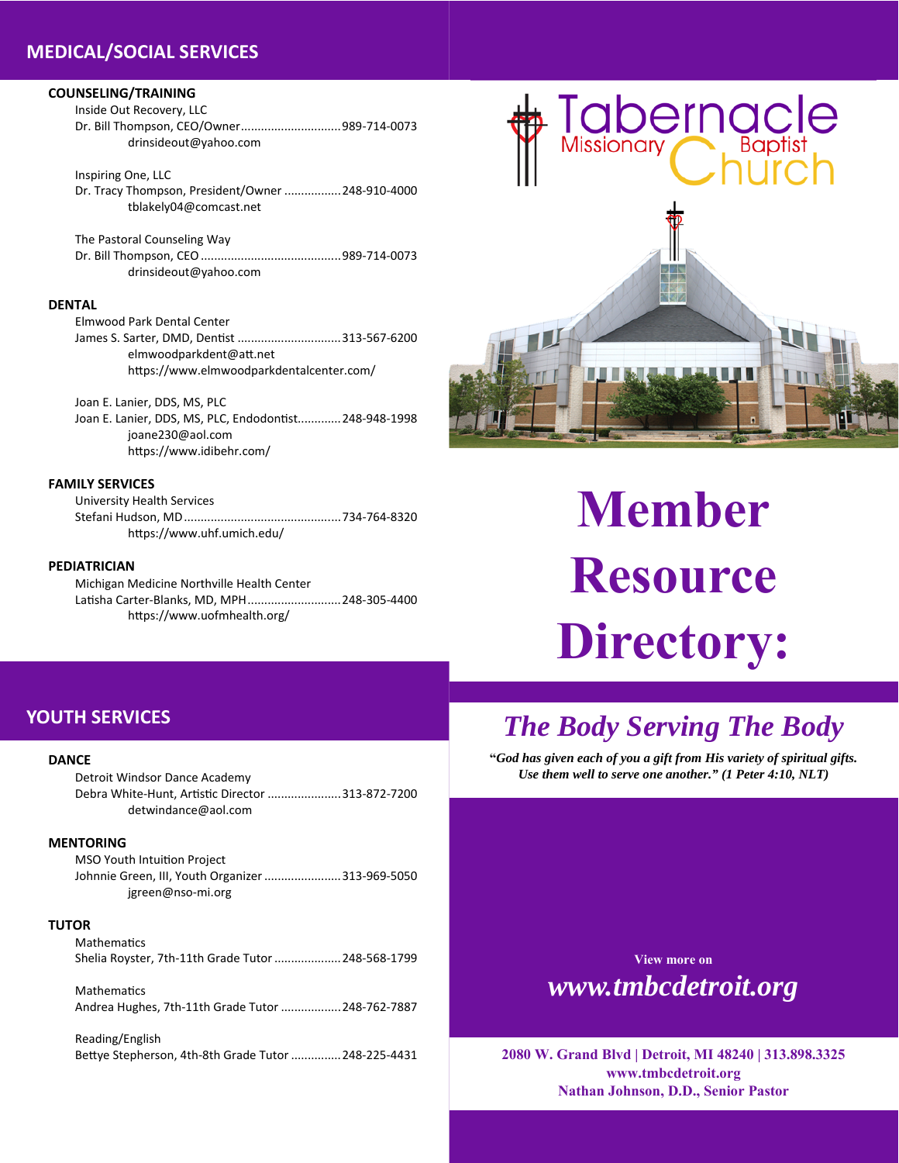### **MEDICAL/SOCIAL SERVICES**

### **COUNSELING/TRAINING**

Inside Out Recovery, LLC Dr. Bill Thompson, CEO/Owner .............................. 989‐714‐0073 drinsideout@yahoo.com

Inspiring One, LLC Dr. Tracy Thompson, President/Owner ................. 248‐910‐4000 tblakely04@comcast.net

The Pastoral Counseling Way Dr. Bill Thompson, CEO .......................................... 989‐714‐0073 drinsideout@yahoo.com

### **DENTAL**

Elmwood Park Dental Center James S. Sarter, DMD, Dentist ................................313-567-6200 elmwoodparkdent@aƩ.net https://www.elmwoodparkdentalcenter.com/

Joan E. Lanier, DDS, MS, PLC Joan E. Lanier, DDS, MS, PLC, Endodontist............. 248-948-1998 joane230@aol.com https://www.idibehr.com/

### **FAMILY SERVICES**

University Health Services Stefani Hudson, MD ............................................... 734‐764‐8320 https://www.uhf.umich.edu/

### **PEDIATRICIAN**

Michigan Medicine Northville Health Center Latisha Carter-Blanks, MD, MPH ........................... 248-305-4400 https://www.uofmhealth.org/

# Tabernacle

# **Member Resource Directory:**

### **YOUTH SERVICES**

### **DANCE**

Detroit Windsor Dance Academy Debra White-Hunt, Artistic Director .......................313-872-7200 detwindance@aol.com

### **MENTORING**

MSO Youth Intuition Project Johnnie Green, III, Youth Organizer ....................... 313‐969‐5050 jgreen@nso‐mi.org

### **TUTOR**

**Mathematics** Shelia Royster, 7th‐11th Grade Tutor .................... 248‐568‐1799

**Mathematics** Andrea Hughes, 7th‐11th Grade Tutor .................. 248‐762‐7887

Reading/English BeƩye Stepherson, 4th‐8th Grade Tutor ............... 248‐225‐4431

## *The Body Serving The Body*

**"***God has given each of you a gift from His variety of spiritual gifts. Use them well to serve one another." (1 Peter 4:10, NLT)*

> **View more on**  *www.tmbcdetroit.org*

**2080 W. Grand Blvd | Detroit, MI 48240 | 313.898.3325 www.tmbcdetroit.org Nathan Johnson, D.D., Senior Pastor**